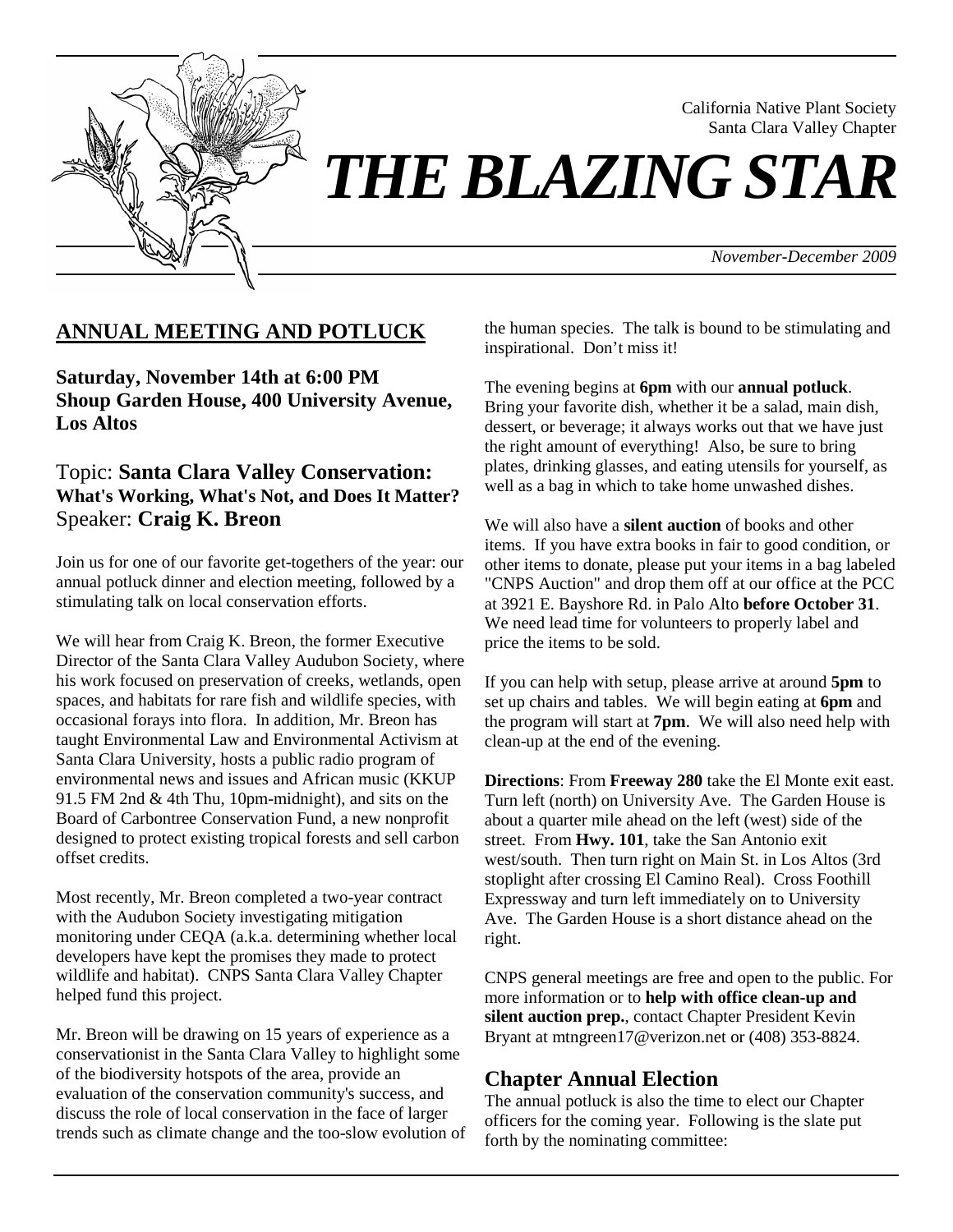

California Native Plant Society Santa Clara Valley Chapter

*THE BLAZING STAR* 

*November-December 2009*

# **ANNUAL MEETING AND POTLUCK**

**Saturday, November 14th at 6:00 PM Shoup Garden House, 400 University Avenue, Los Altos**

## Topic: **Santa Clara Valley Conservation: What's Working, What's Not, and Does It Matter?** Speaker: **Craig K. Breon**

Join us for one of our favorite get-togethers of the year: our annual potluck dinner and election meeting, followed by a stimulating talk on local conservation efforts.

We will hear from Craig K. Breon, the former Executive Director of the Santa Clara Valley Audubon Society, where his work focused on preservation of creeks, wetlands, open spaces, and habitats for rare fish and wildlife species, with occasional forays into flora. In addition, Mr. Breon has taught Environmental Law and Environmental Activism at Santa Clara University, hosts a public radio program of environmental news and issues and African music (KKUP 91.5 FM 2nd & 4th Thu, 10pm-midnight), and sits on the Board of Carbontree Conservation Fund, a new nonprofit designed to protect existing tropical forests and sell carbon offset credits.

Most recently, Mr. Breon completed a two-year contract with the Audubon Society investigating mitigation monitoring under CEQA (a.k.a. determining whether local developers have kept the promises they made to protect wildlife and habitat). CNPS Santa Clara Valley Chapter helped fund this project.

Mr. Breon will be drawing on 15 years of experience as a conservationist in the Santa Clara Valley to highlight some of the biodiversity hotspots of the area, provide an evaluation of the conservation community's success, and discuss the role of local conservation in the face of larger trends such as climate change and the too-slow evolution of the human species. The talk is bound to be stimulating and inspirational. Don't miss it!

The evening begins at **6pm** with our **annual potluck**. Bring your favorite dish, whether it be a salad, main dish, dessert, or beverage; it always works out that we have just the right amount of everything! Also, be sure to bring plates, drinking glasses, and eating utensils for yourself, as well as a bag in which to take home unwashed dishes.

We will also have a **silent auction** of books and other items. If you have extra books in fair to good condition, or other items to donate, please put your items in a bag labeled "CNPS Auction" and drop them off at our office at the PCC at 3921 E. Bayshore Rd. in Palo Alto **before October 31**. We need lead time for volunteers to properly label and price the items to be sold.

If you can help with setup, please arrive at around **5pm** to set up chairs and tables. We will begin eating at **6pm** and the program will start at **7pm**. We will also need help with clean-up at the end of the evening.

**Directions**: From **Freeway 280** take the El Monte exit east. Turn left (north) on University Ave. The Garden House is about a quarter mile ahead on the left (west) side of the street. From **Hwy. 101**, take the San Antonio exit west/south. Then turn right on Main St. in Los Altos (3rd stoplight after crossing El Camino Real). Cross Foothill Expressway and turn left immediately on to University Ave. The Garden House is a short distance ahead on the right.

CNPS general meetings are free and open to the public. For more information or to **help with office clean-up and silent auction prep.**, contact Chapter President Kevin Bryant at mtngreen17@verizon.net or (408) 353-8824.

### **Chapter Annual Election**

The annual potluck is also the time to elect our Chapter officers for the coming year. Following is the slate put forth by the nominating committee: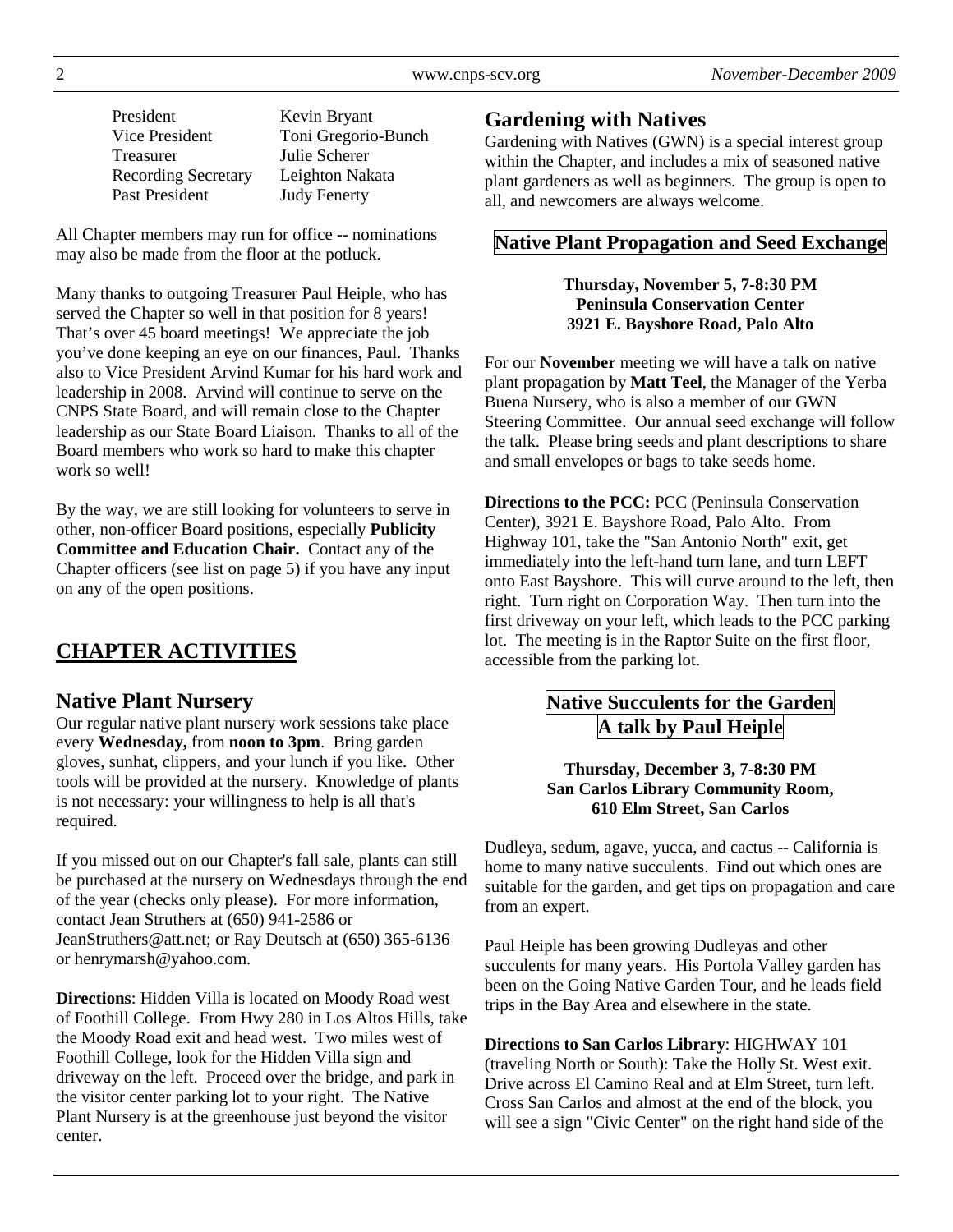| November-December 2009 |  |  |
|------------------------|--|--|
|------------------------|--|--|

| President                  | Kevin Bryant        |
|----------------------------|---------------------|
| Vice President             | Toni Gregorio-Bunch |
| Treasurer                  | Julie Scherer       |
| <b>Recording Secretary</b> | Leighton Nakata     |
| Past President             | <b>Judy Fenerty</b> |

All Chapter members may run for office -- nominations may also be made from the floor at the potluck.

Many thanks to outgoing Treasurer Paul Heiple, who has served the Chapter so well in that position for 8 years! That's over 45 board meetings! We appreciate the job you've done keeping an eye on our finances, Paul. Thanks also to Vice President Arvind Kumar for his hard work and leadership in 2008. Arvind will continue to serve on the CNPS State Board, and will remain close to the Chapter leadership as our State Board Liaison. Thanks to all of the Board members who work so hard to make this chapter work so well!

By the way, we are still looking for volunteers to serve in other, non-officer Board positions, especially **Publicity Committee and Education Chair.** Contact any of the Chapter officers (see list on page 5) if you have any input on any of the open positions.

# **CHAPTER ACTIVITIES**

### **Native Plant Nursery**

Our regular native plant nursery work sessions take place every **Wednesday,** from **noon to 3pm**. Bring garden gloves, sunhat, clippers, and your lunch if you like. Other tools will be provided at the nursery. Knowledge of plants is not necessary: your willingness to help is all that's required.

If you missed out on our Chapter's fall sale, plants can still be purchased at the nursery on Wednesdays through the end of the year (checks only please). For more information, contact Jean Struthers at (650) 941-2586 or JeanStruthers@att.net; or Ray Deutsch at (650) 365-6136 or henrymarsh@yahoo.com.

**Directions**: Hidden Villa is located on Moody Road west of Foothill College. From Hwy 280 in Los Altos Hills, take the Moody Road exit and head west. Two miles west of Foothill College, look for the Hidden Villa sign and driveway on the left. Proceed over the bridge, and park in the visitor center parking lot to your right. The Native Plant Nursery is at the greenhouse just beyond the visitor center.

### **Gardening with Natives**

Gardening with Natives (GWN) is a special interest group within the Chapter, and includes a mix of seasoned native plant gardeners as well as beginners. The group is open to all, and newcomers are always welcome.

## **Native Plant Propagation and Seed Exchange**

#### **Thursday, November 5, 7-8:30 PM Peninsula Conservation Center 3921 E. Bayshore Road, Palo Alto**

For our **November** meeting we will have a talk on native plant propagation by **Matt Teel**, the Manager of the Yerba Buena Nursery, who is also a member of our GWN Steering Committee. Our annual seed exchange will follow the talk. Please bring seeds and plant descriptions to share and small envelopes or bags to take seeds home.

**Directions to the PCC:** PCC (Peninsula Conservation Center), 3921 E. Bayshore Road, Palo Alto. From Highway 101, take the "San Antonio North" exit, get immediately into the left-hand turn lane, and turn LEFT onto East Bayshore. This will curve around to the left, then right. Turn right on Corporation Way. Then turn into the first driveway on your left, which leads to the PCC parking lot. The meeting is in the Raptor Suite on the first floor, accessible from the parking lot.

# **Native Succulents for the Garden A talk by Paul Heiple**

#### **Thursday, December 3, 7-8:30 PM San Carlos Library Community Room, 610 Elm Street, San Carlos**

Dudleya, sedum, agave, yucca, and cactus -- California is home to many native succulents. Find out which ones are suitable for the garden, and get tips on propagation and care from an expert.

Paul Heiple has been growing Dudleyas and other succulents for many years. His Portola Valley garden has been on the Going Native Garden Tour, and he leads field trips in the Bay Area and elsewhere in the state.

**Directions to San Carlos Library**: HIGHWAY 101 (traveling North or South): Take the Holly St. West exit. Drive across El Camino Real and at Elm Street, turn left. Cross San Carlos and almost at the end of the block, you will see a sign "Civic Center" on the right hand side of the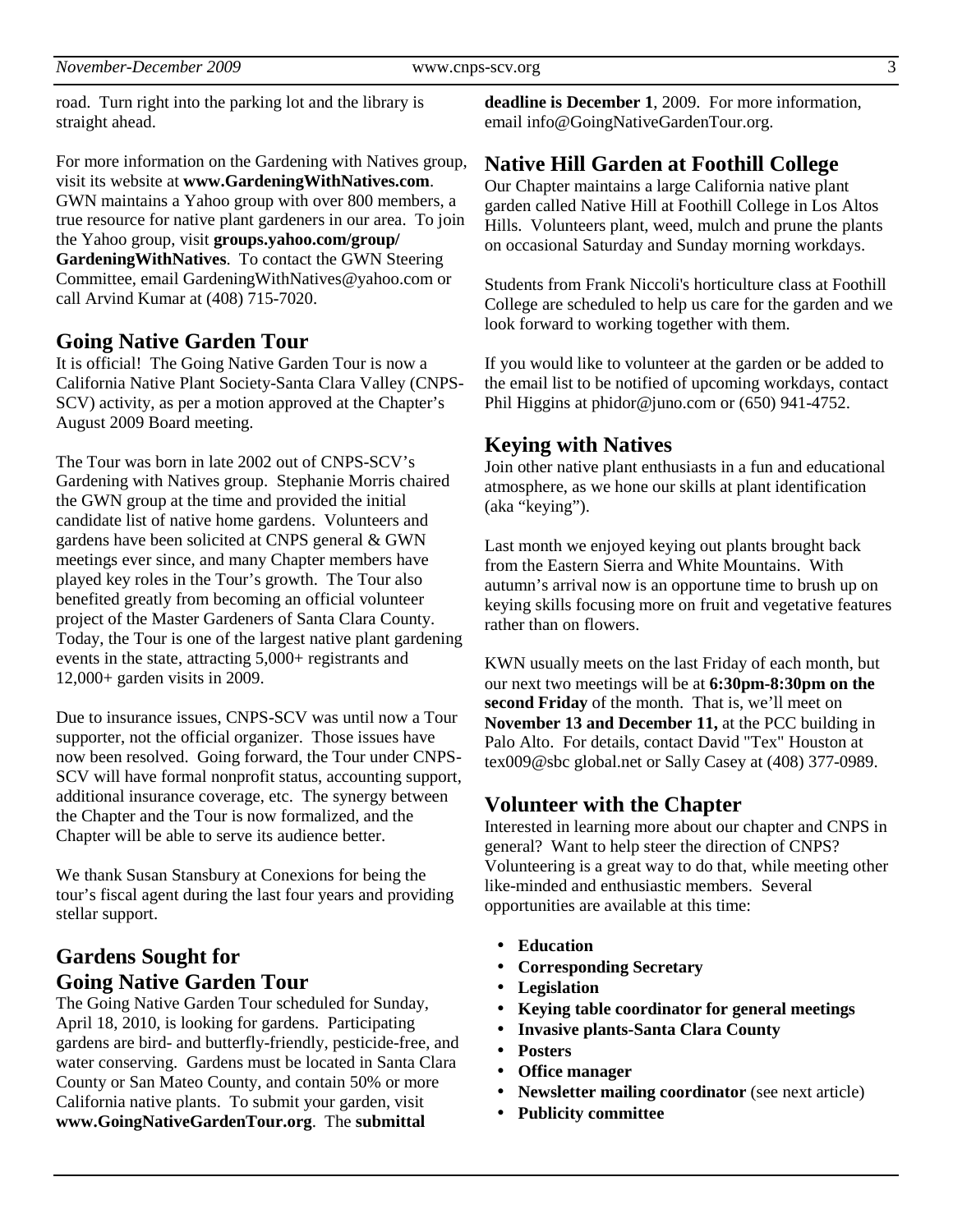road. Turn right into the parking lot and the library is straight ahead.

For more information on the Gardening with Natives group, visit its website at **www.GardeningWithNatives.com**. GWN maintains a Yahoo group with over 800 members, a true resource for native plant gardeners in our area. To join the Yahoo group, visit **groups.yahoo.com/group/ GardeningWithNatives**. To contact the GWN Steering Committee, email GardeningWithNatives@yahoo.com or call Arvind Kumar at (408) 715-7020.

### **Going Native Garden Tour**

It is official! The Going Native Garden Tour is now a California Native Plant Society-Santa Clara Valley (CNPS-SCV) activity, as per a motion approved at the Chapter's August 2009 Board meeting.

The Tour was born in late 2002 out of CNPS-SCV's Gardening with Natives group. Stephanie Morris chaired the GWN group at the time and provided the initial candidate list of native home gardens. Volunteers and gardens have been solicited at CNPS general & GWN meetings ever since, and many Chapter members have played key roles in the Tour's growth. The Tour also benefited greatly from becoming an official volunteer project of the Master Gardeners of Santa Clara County. Today, the Tour is one of the largest native plant gardening events in the state, attracting 5,000+ registrants and 12,000+ garden visits in 2009.

Due to insurance issues, CNPS-SCV was until now a Tour supporter, not the official organizer. Those issues have now been resolved. Going forward, the Tour under CNPS-SCV will have formal nonprofit status, accounting support, additional insurance coverage, etc. The synergy between the Chapter and the Tour is now formalized, and the Chapter will be able to serve its audience better.

We thank Susan Stansbury at Conexions for being the tour's fiscal agent during the last four years and providing stellar support.

# **Gardens Sought for Going Native Garden Tour**

The Going Native Garden Tour scheduled for Sunday, April 18, 2010, is looking for gardens. Participating gardens are bird- and butterfly-friendly, pesticide-free, and water conserving. Gardens must be located in Santa Clara County or San Mateo County, and contain 50% or more California native plants. To submit your garden, visit **www.GoingNativeGardenTour.org**. The **submittal** 

**deadline is December 1**, 2009. For more information, email info@GoingNativeGardenTour.org.

## **Native Hill Garden at Foothill College**

Our Chapter maintains a large California native plant garden called Native Hill at Foothill College in Los Altos Hills. Volunteers plant, weed, mulch and prune the plants on occasional Saturday and Sunday morning workdays.

Students from Frank Niccoli's horticulture class at Foothill College are scheduled to help us care for the garden and we look forward to working together with them.

If you would like to volunteer at the garden or be added to the email list to be notified of upcoming workdays, contact Phil Higgins at phidor@juno.com or (650) 941-4752.

### **Keying with Natives**

Join other native plant enthusiasts in a fun and educational atmosphere, as we hone our skills at plant identification (aka "keying").

Last month we enjoyed keying out plants brought back from the Eastern Sierra and White Mountains. With autumn's arrival now is an opportune time to brush up on keying skills focusing more on fruit and vegetative features rather than on flowers.

KWN usually meets on the last Friday of each month, but our next two meetings will be at **6:30pm-8:30pm on the second Friday** of the month. That is, we'll meet on **November 13 and December 11,** at the PCC building in Palo Alto. For details, contact David "Tex" Houston at tex009@sbc global.net or Sally Casey at (408) 377-0989.

### **Volunteer with the Chapter**

Interested in learning more about our chapter and CNPS in general? Want to help steer the direction of CNPS? Volunteering is a great way to do that, while meeting other like-minded and enthusiastic members. Several opportunities are available at this time:

- **Education**
- **Corresponding Secretary**
- **Legislation**
- **Keying table coordinator for general meetings**
- **Invasive plants-Santa Clara County**
- **Posters**
- **Office manager**
- **Newsletter mailing coordinator** (see next article)
- **Publicity committee**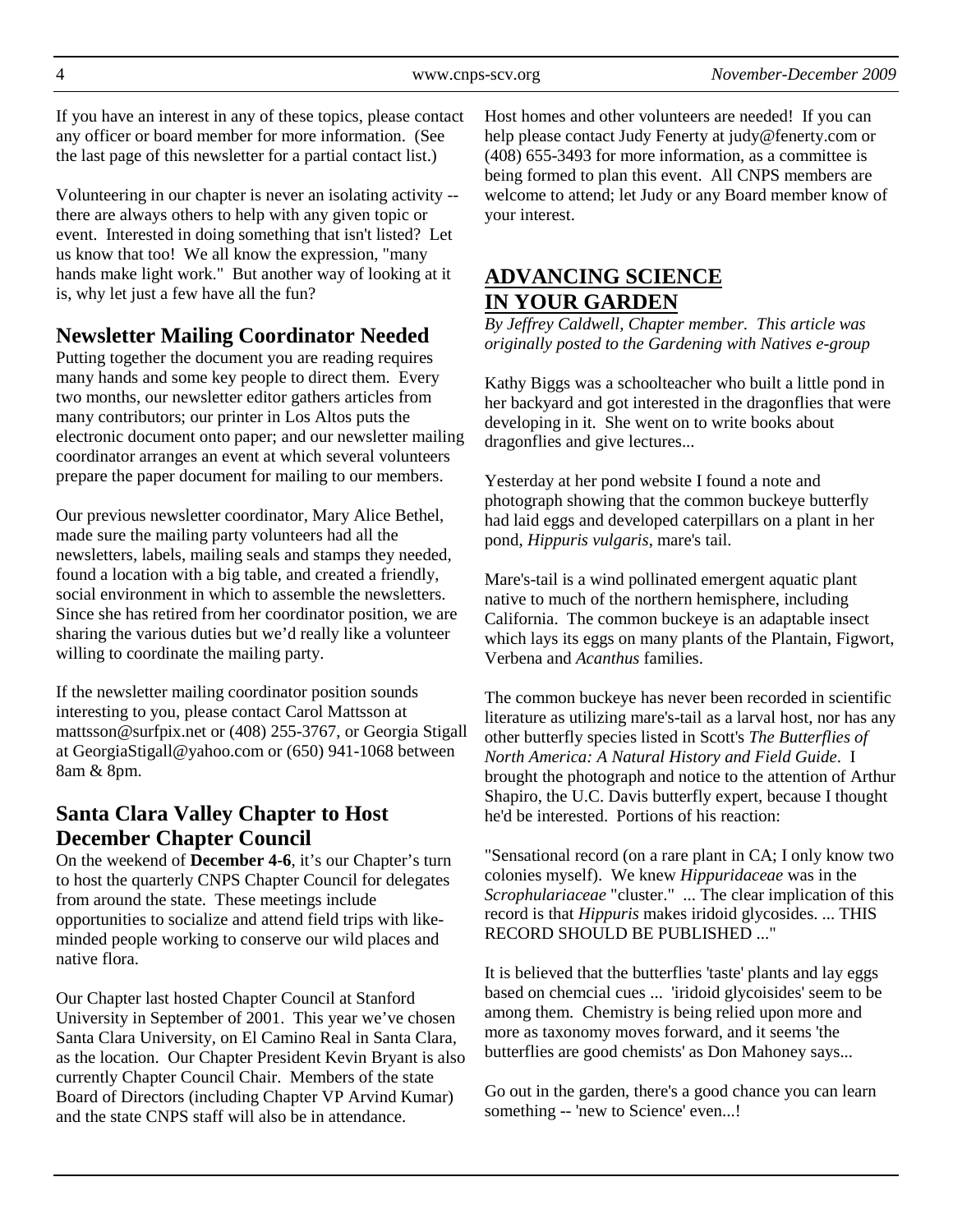If you have an interest in any of these topics, please contact any officer or board member for more information. (See the last page of this newsletter for a partial contact list.)

Volunteering in our chapter is never an isolating activity - there are always others to help with any given topic or event. Interested in doing something that isn't listed? Let us know that too! We all know the expression, "many hands make light work." But another way of looking at it is, why let just a few have all the fun?

# **Newsletter Mailing Coordinator Needed**

Putting together the document you are reading requires many hands and some key people to direct them. Every two months, our newsletter editor gathers articles from many contributors; our printer in Los Altos puts the electronic document onto paper; and our newsletter mailing coordinator arranges an event at which several volunteers prepare the paper document for mailing to our members.

Our previous newsletter coordinator, Mary Alice Bethel, made sure the mailing party volunteers had all the newsletters, labels, mailing seals and stamps they needed, found a location with a big table, and created a friendly, social environment in which to assemble the newsletters. Since she has retired from her coordinator position, we are sharing the various duties but we'd really like a volunteer willing to coordinate the mailing party.

If the newsletter mailing coordinator position sounds interesting to you, please contact Carol Mattsson at mattsson@surfpix.net or (408) 255-3767, or Georgia Stigall at GeorgiaStigall@yahoo.com or (650) 941-1068 between 8am & 8pm.

# **Santa Clara Valley Chapter to Host December Chapter Council**

On the weekend of **December 4-6**, it's our Chapter's turn to host the quarterly CNPS Chapter Council for delegates from around the state. These meetings include opportunities to socialize and attend field trips with likeminded people working to conserve our wild places and native flora.

Our Chapter last hosted Chapter Council at Stanford University in September of 2001. This year we've chosen Santa Clara University, on El Camino Real in Santa Clara, as the location. Our Chapter President Kevin Bryant is also currently Chapter Council Chair. Members of the state Board of Directors (including Chapter VP Arvind Kumar) and the state CNPS staff will also be in attendance.

Host homes and other volunteers are needed! If you can help please contact Judy Fenerty at judy@fenerty.com or (408) 655-3493 for more information, as a committee is being formed to plan this event. All CNPS members are welcome to attend; let Judy or any Board member know of your interest.

# **ADVANCING SCIENCE IN YOUR GARDEN**

*By Jeffrey Caldwell, Chapter member. This article was originally posted to the Gardening with Natives e-group* 

Kathy Biggs was a schoolteacher who built a little pond in her backyard and got interested in the dragonflies that were developing in it. She went on to write books about dragonflies and give lectures...

Yesterday at her pond website I found a note and photograph showing that the common buckeye butterfly had laid eggs and developed caterpillars on a plant in her pond, *Hippuris vulgaris*, mare's tail.

Mare's-tail is a wind pollinated emergent aquatic plant native to much of the northern hemisphere, including California. The common buckeye is an adaptable insect which lays its eggs on many plants of the Plantain, Figwort, Verbena and *Acanthus* families.

The common buckeye has never been recorded in scientific literature as utilizing mare's-tail as a larval host, nor has any other butterfly species listed in Scott's *The Butterflies of North America: A Natural History and Field Guide*. I brought the photograph and notice to the attention of Arthur Shapiro, the U.C. Davis butterfly expert, because I thought he'd be interested. Portions of his reaction:

"Sensational record (on a rare plant in CA; I only know two colonies myself). We knew *Hippuridaceae* was in the *Scrophulariaceae* "cluster." ... The clear implication of this record is that *Hippuris* makes iridoid glycosides. ... THIS RECORD SHOULD BE PUBLISHED ..."

It is believed that the butterflies 'taste' plants and lay eggs based on chemcial cues ... 'iridoid glycoisides' seem to be among them. Chemistry is being relied upon more and more as taxonomy moves forward, and it seems 'the butterflies are good chemists' as Don Mahoney says...

Go out in the garden, there's a good chance you can learn something -- 'new to Science' even...!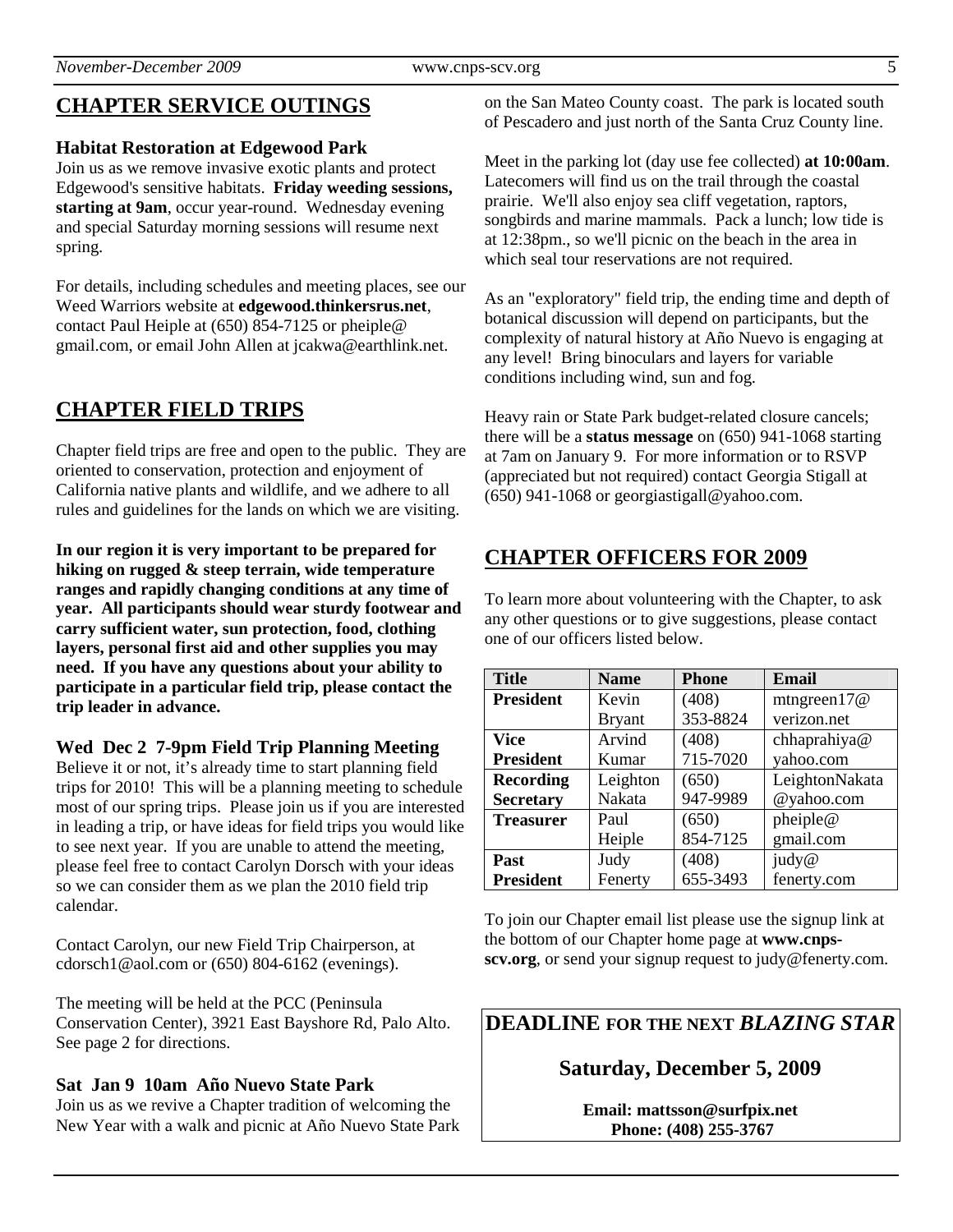# **CHAPTER SERVICE OUTINGS**

#### **Habitat Restoration at Edgewood Park**

Join us as we remove invasive exotic plants and protect Edgewood's sensitive habitats. **Friday weeding sessions, starting at 9am**, occur year-round. Wednesday evening and special Saturday morning sessions will resume next spring.

For details, including schedules and meeting places, see our Weed Warriors website at **edgewood.thinkersrus.net**, contact Paul Heiple at (650) 854-7125 or pheiple@ gmail.com, or email John Allen at jcakwa@earthlink.net.

# **CHAPTER FIELD TRIPS**

Chapter field trips are free and open to the public. They are oriented to conservation, protection and enjoyment of California native plants and wildlife, and we adhere to all rules and guidelines for the lands on which we are visiting.

**In our region it is very important to be prepared for hiking on rugged & steep terrain, wide temperature ranges and rapidly changing conditions at any time of year. All participants should wear sturdy footwear and carry sufficient water, sun protection, food, clothing layers, personal first aid and other supplies you may need. If you have any questions about your ability to participate in a particular field trip, please contact the trip leader in advance.** 

**Wed Dec 2 7-9pm Field Trip Planning Meeting** 

Believe it or not, it's already time to start planning field trips for 2010! This will be a planning meeting to schedule most of our spring trips. Please join us if you are interested in leading a trip, or have ideas for field trips you would like to see next year. If you are unable to attend the meeting, please feel free to contact Carolyn Dorsch with your ideas so we can consider them as we plan the 2010 field trip calendar.

Contact Carolyn, our new Field Trip Chairperson, at cdorsch1@aol.com or (650) 804-6162 (evenings).

The meeting will be held at the PCC (Peninsula Conservation Center), 3921 East Bayshore Rd, Palo Alto. See page 2 for directions.

#### **Sat Jan 9 10am Año Nuevo State Park**

Join us as we revive a Chapter tradition of welcoming the New Year with a walk and picnic at Año Nuevo State Park on the San Mateo County coast. The park is located south of Pescadero and just north of the Santa Cruz County line.

Meet in the parking lot (day use fee collected) **at 10:00am**. Latecomers will find us on the trail through the coastal prairie. We'll also enjoy sea cliff vegetation, raptors, songbirds and marine mammals. Pack a lunch; low tide is at 12:38pm., so we'll picnic on the beach in the area in which seal tour reservations are not required.

As an "exploratory" field trip, the ending time and depth of botanical discussion will depend on participants, but the complexity of natural history at Año Nuevo is engaging at any level! Bring binoculars and layers for variable conditions including wind, sun and fog.

Heavy rain or State Park budget-related closure cancels; there will be a **status message** on (650) 941-1068 starting at 7am on January 9. For more information or to RSVP (appreciated but not required) contact Georgia Stigall at (650) 941-1068 or georgiastigall@yahoo.com.

# **CHAPTER OFFICERS FOR 2009**

To learn more about volunteering with the Chapter, to ask any other questions or to give suggestions, please contact one of our officers listed below.

| <b>Title</b>     | <b>Name</b>   | <b>Phone</b> | Email          |
|------------------|---------------|--------------|----------------|
| <b>President</b> | Kevin         | (408)        | mtngreen $17@$ |
|                  | <b>Bryant</b> | 353-8824     | verizon.net    |
| Vice             | Arvind        | (408)        | chhaprahiya@   |
| <b>President</b> | Kumar         | 715-7020     | yahoo.com      |
| <b>Recording</b> | Leighton      | (650)        | LeightonNakata |
| <b>Secretary</b> | Nakata        | 947-9989     | @yahoo.com     |
| <b>Treasurer</b> | Paul          | (650)        | pheiple@       |
|                  | Heiple        | 854-7125     | gmail.com      |
| Past             | Judy          | (408)        | judy@          |
| <b>President</b> | Fenerty       | 655-3493     | fenerty.com    |

To join our Chapter email list please use the signup link at the bottom of our Chapter home page at **www.cnpsscv.org**, or send your signup request to judy@fenerty.com.

# **DEADLINE FOR THE NEXT** *BLAZING STAR*

**Saturday, December 5, 2009** 

**Email: mattsson@surfpix.net Phone: (408) 255-3767**